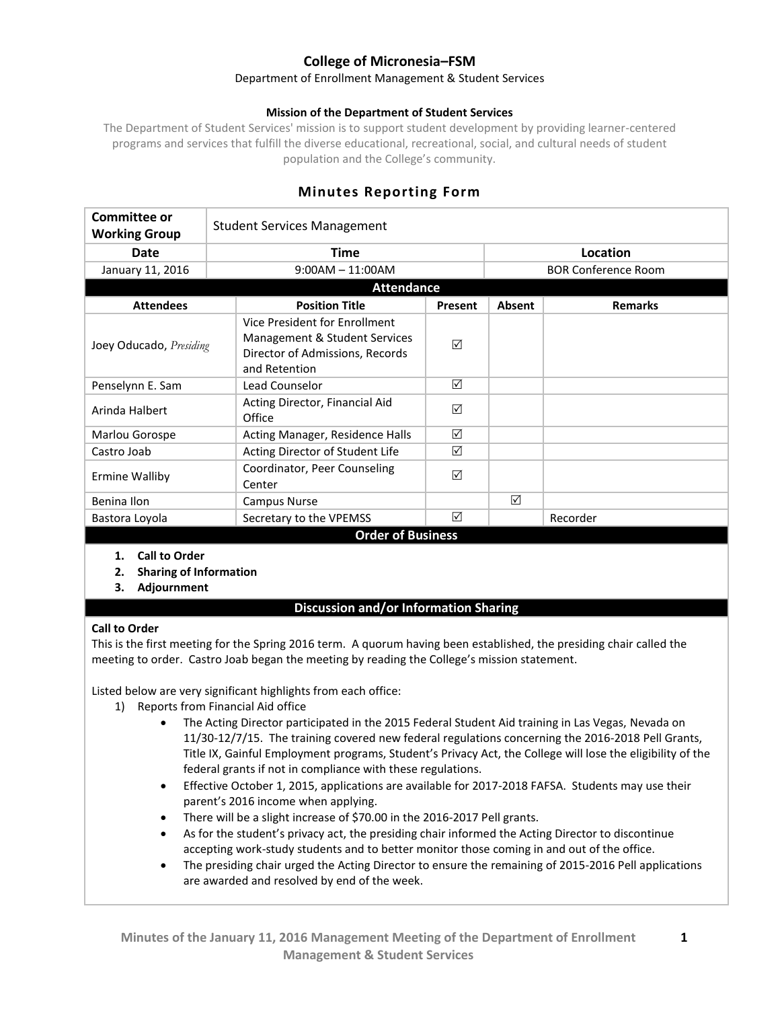# **College of Micronesia–FSM**

#### Department of Enrollment Management & Student Services

#### **Mission of the Department of Student Services**

The Department of Student Services' mission is to support student development by providing learner-centered programs and services that fulfill the diverse educational, recreational, social, and cultural needs of student population and the College's community.

# **Minutes Reporting Form**

| <b>Committee or</b>      |  | <b>Student Services Management</b>                                                                                 |                 |          |                            |  |
|--------------------------|--|--------------------------------------------------------------------------------------------------------------------|-----------------|----------|----------------------------|--|
| <b>Working Group</b>     |  |                                                                                                                    |                 |          |                            |  |
| <b>Date</b>              |  | Time                                                                                                               |                 | Location |                            |  |
| January 11, 2016         |  | $9:00AM - 11:00AM$                                                                                                 |                 |          | <b>BOR Conference Room</b> |  |
| <b>Attendance</b>        |  |                                                                                                                    |                 |          |                            |  |
| <b>Attendees</b>         |  | <b>Position Title</b>                                                                                              | Present         | Absent   | <b>Remarks</b>             |  |
| Joey Oducado, Presiding  |  | Vice President for Enrollment<br>Management & Student Services<br>Director of Admissions, Records<br>and Retention | ☑               |          |                            |  |
| Penselynn E. Sam         |  | Lead Counselor                                                                                                     | ☑               |          |                            |  |
| Arinda Halbert           |  | Acting Director, Financial Aid<br>Office                                                                           | ☑               |          |                            |  |
| Marlou Gorospe           |  | Acting Manager, Residence Halls                                                                                    | $\triangledown$ |          |                            |  |
| Castro Joab              |  | Acting Director of Student Life                                                                                    | ☑               |          |                            |  |
| <b>Ermine Walliby</b>    |  | Coordinator, Peer Counseling<br>Center                                                                             | ☑               |          |                            |  |
| Benina Ilon              |  | <b>Campus Nurse</b>                                                                                                |                 | ☑        |                            |  |
| Bastora Loyola           |  | Secretary to the VPEMSS                                                                                            | ☑               |          | Recorder                   |  |
| <b>Order of Business</b> |  |                                                                                                                    |                 |          |                            |  |

- **1. Call to Order**
- **2. Sharing of Information**
- **3. Adjournment**

### **Discussion and/or Information Sharing**

#### **Call to Order**

This is the first meeting for the Spring 2016 term. A quorum having been established, the presiding chair called the meeting to order. Castro Joab began the meeting by reading the College's mission statement.

Listed below are very significant highlights from each office:

- 1) Reports from Financial Aid office
	- The Acting Director participated in the 2015 Federal Student Aid training in Las Vegas, Nevada on 11/30-12/7/15. The training covered new federal regulations concerning the 2016-2018 Pell Grants, Title IX, Gainful Employment programs, Student's Privacy Act, the College will lose the eligibility of the federal grants if not in compliance with these regulations.
	- Effective October 1, 2015, applications are available for 2017-2018 FAFSA. Students may use their parent's 2016 income when applying.
	- There will be a slight increase of \$70.00 in the 2016-2017 Pell grants.
	- As for the student's privacy act, the presiding chair informed the Acting Director to discontinue accepting work-study students and to better monitor those coming in and out of the office.
	- The presiding chair urged the Acting Director to ensure the remaining of 2015-2016 Pell applications are awarded and resolved by end of the week.